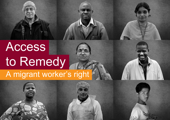

# Access to Remedy

## A migrant worker's right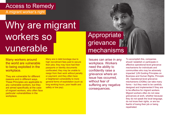#### Access to Remedy

A migrant worker's right

## Why are migrant workers so vunerable

#### Appropriate grievance | mechanisms

Many workers around the world are vulnerable to being exploited in the workplace.

They are vulnerable for different reasons and in different ways. These Principles are applicable to any vulnerable workers, but they are aimed specifically at the case of migrant workers, who often face particular vulnerabilities in the workplace.

Many are in debt bondage due to high recruitment fees paid to secure their jobs; they may have had their passports or identity documents confiscated; they may be unable to resign from their work without penalty or payment; and they often have a heightened vulnerability to more general forms of exploitation (such as long working hours, poor health and safety or low pay).

Issues can arise in any workplace. Workers need the ability to confidently raise a grievance where an issue has occurred, without fear of suffering any negative consequences.

To accomplish this, companies should 'establish or participate in effective operational-level grievance mechanisms for individuals and communities who may be adversely impacted' (UN Guiding Principles on Business and Human Rights, Principle 29). Operational-level grievance mechanisms (OGMs) can take many forms – but they need to be carefully designed and implemented if they are to be effective for migrant workers. Migrant workers often do not raise grievances at work, whether because they do not speak the local language, do not know their rights, or are too fearful of losing their job or being repatriated.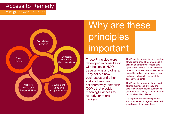#### Access to Remedy

A migrant worker's right



## Why are these principles important

These Principles were developed in consultation with business, NGOs, trade unions and others. They set out how businesses and other stakeholders can, collaboratively, establish OGMs that provide meaningful access to remedy for migrant workers.

The Principles are not just a reiteration of workers' rights. They are an explicit acknowledgement that recognising rights is not enough – businesses and other stakeholders must actively work to enable workers in their operations and supply chains to meaningfully access those rights.

The Principles are particularly aimed at retail businesses, but they are also relevant for supplier businesses, governments, NGOs, trade unions and multi-stakeholder initiatives.

We hope the Principles help in that work and we encourage all interested stakeholders to support them.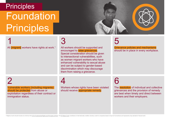## **Principles Foundation** Principles



1 All *[migrant]* workers have rights at work.<sup>1</sup> 3

All workers should be supported and encouraged to raise grievances. Special consideration should be given to intersectional vulnerabilities, such as women migrant workers who have enhanced vulnerability to sexual abuse and can be subject to gender-based discrimination which may discourage them from raising a grievance.

## 5

Grievance policies and mechanisms should be in place in every workplace.

#### $\mathcal{P}$

Vulnerable workers (including migrants) should be protected from abuse or exploitation regardless of their contract or immigration status.

## 4

Workers whose rights have been violated should receive appropriate remedy.

6

The resolution of individual and collective grievances and the provision of remedy are best when timely and direct between workers and their employers.

1 Rights at work should include at a minimum the [ILO's Fundamental Rights and Principles at Work.](https://www.ilo.org/actrav/areas/WCMS_DOC_ATR_ARE_DECL_EN/lang--en/index.htm) The [ETI Base Code](https://www.ethicaltrade.org/sites/default/files/shared_resources/base_code_poster_1_english.pdf) constitutes an internationally credible voluntary code for companies based on key ILO Conventions and repr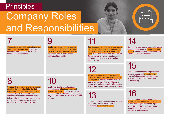#### **Principles**

## Company Roles and Responsibilities



## 7

Companies should take action to prevent violations of workers' rights (such as restricting freedom of movement through the retention of passports).

### 9

Employers should have transparent employment policies and procedures that enshrine basic rights for workers. All workers should be trained to understand their rights.

## 11

12

Business customers (buyers) should ensure that their suppliers have robust grievance and remedy policies and mechanisms in place, in line with international best practice. Buyers should avoid imposing their own grievance mechanisms to avoid confusion and duplication.

Mediation between democratically elected workers' representatives (ideally trade unions) and employers is the most effective way to resolve grievances. If that is not feasible, support from authorities, multi-stakeholder or

#### 15

14

Companies should encourage workers to report issues and protect workers from suffering negative consequences as a result of raising a grievance or

Company grievance management systems should be developed in consultation with workers, where possible through dialogue

with trade union representatives.

Safeguarding of workers who are victims of rights violations should be the first consideration in any remediation process. Safeguarding of women who have suffered sexual harassment and abuse in the workplace, often by their superiors, requires particular attention in order to protect them from potential reprisals.

#### 10 Workers representatives (ideally trade unions) as a result of real and employers is the most effective way to as a result of resolve grievances. If that is not feasible, support from authorities, multi-stakeholder or

Employment policies and procedures should include robust grievance and remedy mechanisms. These should be communicated to all workers in a language<br>they understand and in a medium they can<br>access. they understand and in a medium they can

## other trusted organisations should be sought.

Company grievance management systems should complement, not replace or undermine, state responsibilities.

#### 16

Companies and workers should seek mutually trusted independent third parties to help resolve grievances and agree acceptable remediation, where direct negotiation between trade unions and employers is not feasible.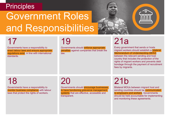#### **Principles**

## Government Roles and Responsibilities



## 17

Governments have a responsibility to enact labour laws and ensure appropriate regulations exist, in line with international standards

19

Governments should enforce appropriate penalties against companies that break the law.

## 21a

Every government that sends or hosts migrant workers should establish a bilateral Memorandum of Understanding (MOU) between the relevant sending and host country that includes the protection of the rights of migrant workers and prevents debt bondage through the payment of recruitment fees by migrants.

#### 18

Governments have a responsibility to monitor business compliance with labour laws that protect the rights of workers.

### 20

Governments should encourage businesses to have functioning grievance management systems that are effective, accessible and transparent.

## 21b

Bilateral MOUs between migrant host and sending countries should be communicated to employers and workers. Governments should be held accountable for implementing and monitoring these agreements.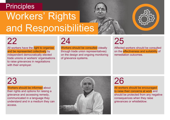#### **Principles**

## Workers' Rights and Responsibilities





## 22

All workers have the right to organise and be represented collectively by independent democratically elected trade unions or workers' organisations to raise grievances in negotiations with their employer.

#### 24

Workers should be consulted (ideally through trade union representatives) on the design and ongoing monitoring of grievance systems.

## 25

Affected workers should be consulted on the effectiveness and suitability of remediation outcomes.

### 23

Workers should be informed about their rights and options for raising a grievance and accessing remedy, communicated in a language they understand and in a medium they can access.



## 26

All workers should be encouraged to raise their concerns at work and should be protected from any negative consequences when they raise grievances or whistleblow.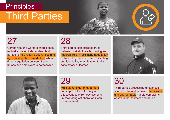## **Principles** Third Parties



## 27

Companies and workers should seek mutually trusted independent third parties to help resolve grievances and agree acceptable remediation, where direct negotiation between trade unions and employers is not feasible.

#### 28

Third parties can increase trust between stakeholders by playing an impartial role in facilitating negotiation between key parties, while respecting confidentiality, to achieve mutually satisfactory outcomes.





#### 29

Multi-stakeholder engagement can improve the efficiency and effectiveness of remedy systems. By facilitating collaboration it can increase trust.

## 30

Third parties processing grievances should be trained in how to **sensitively** and appropriately handle complaints of sexual harassment and abuse.